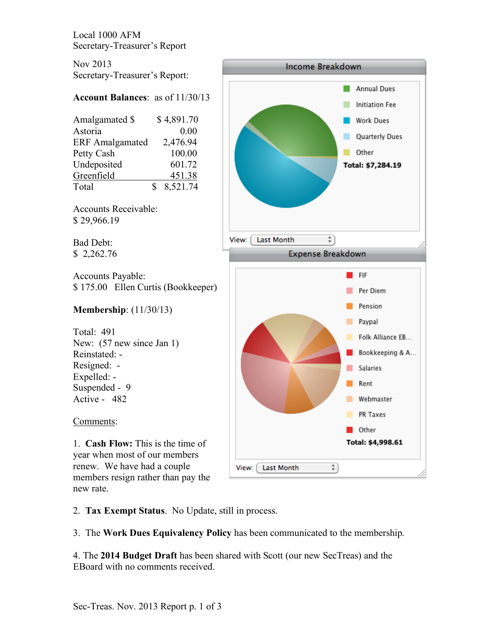Local 1000 AFM Secretary-Treasurer's Report

Nov 2013 Secretary-Treasurer's Report:

# **Account Balances**: as of 11/30/13

|   | \$4,891.70 |
|---|------------|
|   | 0.00       |
|   | 2,476.94   |
|   | 100.00     |
|   | 601.72     |
|   | 451.38     |
| Я | 8,521.74   |
|   |            |

Accounts Receivable: \$ 29,966.19

Bad Debt: \$ 2,262.76

Accounts Payable: \$ 175.00 Ellen Curtis (Bookkeeper)

# **Membership**: (11/30/13)

Total: 491 New:  $(57$  new since Jan 1) Reinstated: - Resigned: - Expelled: - Suspended - 9 Active - 482

## Comments:

1. **Cash Flow:** This is the time of year when most of our members renew. We have had a couple members resign rather than pay the new rate.



2. **Tax Exempt Status**. No Update, still in process.

3. The **Work Dues Equivalency Policy** has been communicated to the membership.

4. The **2014 Budget Draft** has been shared with Scott (our new SecTreas) and the EBoard with no comments received.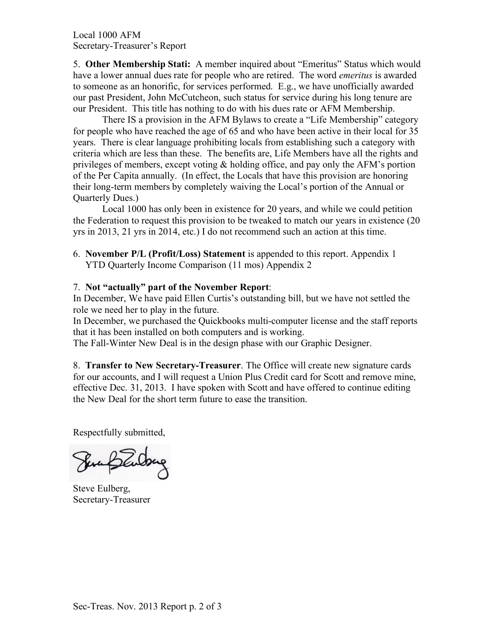Local 1000 AFM Secretary-Treasurer's Report

5. **Other Membership Stati:** A member inquired about "Emeritus" Status which would have a lower annual dues rate for people who are retired. The word *emeritus* is awarded to someone as an honorific, for services performed. E.g., we have unofficially awarded our past President, John McCutcheon, such status for service during his long tenure are our President. This title has nothing to do with his dues rate or AFM Membership.

There IS a provision in the AFM Bylaws to create a "Life Membership" category for people who have reached the age of 65 and who have been active in their local for 35 years. There is clear language prohibiting locals from establishing such a category with criteria which are less than these. The benefits are, Life Members have all the rights and privileges of members, except voting  $\&$  holding office, and pay only the AFM's portion of the Per Capita annually. (In effect, the Locals that have this provision are honoring their long-term members by completely waiving the Local's portion of the Annual or Quarterly Dues.)

Local 1000 has only been in existence for 20 years, and while we could petition the Federation to request this provision to be tweaked to match our years in existence (20 yrs in 2013, 21 yrs in 2014, etc.) I do not recommend such an action at this time.

6. **November P/L (Profit/Loss) Statement** is appended to this report. Appendix 1 YTD Quarterly Income Comparison (11 mos) Appendix 2

### 7. **Not "actually" part of the November Report**:

In December, We have paid Ellen Curtis's outstanding bill, but we have not settled the role we need her to play in the future.

In December, we purchased the Quickbooks multi-computer license and the staff reports that it has been installed on both computers and is working.

The Fall-Winter New Deal is in the design phase with our Graphic Designer.

8. **Transfer to New Secretary-Treasurer**. The Office will create new signature cards for our accounts, and I will request a Union Plus Credit card for Scott and remove mine, effective Dec. 31, 2013. I have spoken with Scott and have offered to continue editing the New Deal for the short term future to ease the transition.

Respectfully submitted,

Sunflutong

Steve Eulberg, Secretary-Treasurer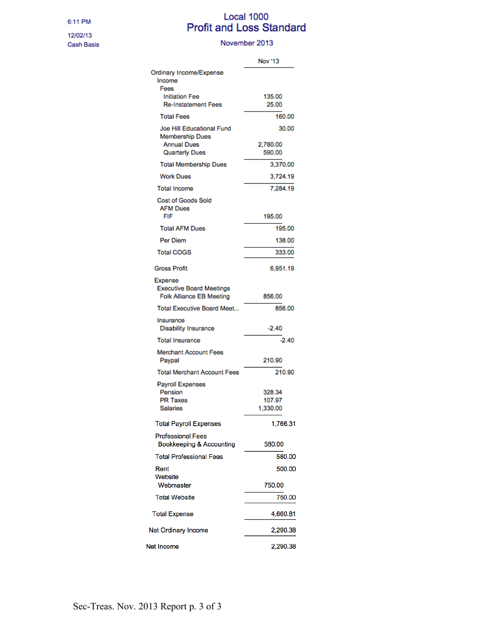#### 6:11 PM

12/02/13 Cash Basis

# Local 1000<br>Profit and Loss Standard

#### November 2013

|                                              | <b>Nov</b> '13     |
|----------------------------------------------|--------------------|
| Ordinary Income/Expense                      |                    |
| Income<br>Fees                               |                    |
| <b>Initiation Fee</b>                        | 135.00             |
| <b>Re-Instatement Fees</b>                   | 25.00              |
| <b>Total Fees</b>                            | 160.00             |
| Joe Hill Educational Fund                    | 30.00              |
| <b>Membership Dues</b><br><b>Annual Dues</b> |                    |
| <b>Quarterly Dues</b>                        | 2,780.00<br>590.00 |
| <b>Total Membership Dues</b>                 | 3,370.00           |
| <b>Work Dues</b>                             | 3,724.19           |
| <b>Total Income</b>                          | 7,284.19           |
| <b>Cost of Goods Sold</b>                    |                    |
| <b>AFM Dues</b>                              |                    |
| FIF                                          | 195.00             |
| <b>Total AFM Dues</b>                        | 195.00             |
| Per Diem                                     | 138.00             |
| <b>Total COGS</b>                            | 333.00             |
| <b>Gross Profit</b>                          | 6,951.19           |
| <b>Expense</b>                               |                    |
| <b>Executive Board Meetings</b>              |                    |
| Folk Alliance EB Meeting                     | 856.00             |
| <b>Total Executive Board Meet</b>            | 856.00             |
| Insurance<br><b>Disability Insurance</b>     | $-2.40$            |
| <b>Total Insurance</b>                       | $-2.40$            |
|                                              |                    |
| <b>Merchant Account Fees</b><br>Paypal       | 210.90             |
| <b>Total Merchant Account Fees</b>           | 210.90             |
| <b>Payroll Expenses</b>                      |                    |
| Pension                                      | 328.34             |
| <b>PR Taxes</b>                              | 107.97             |
| <b>Salaries</b>                              | 1,330.00           |
| <b>Total Payroll Expenses</b>                | 1,766.31           |
| <b>Professional Fees</b>                     |                    |
| <b>Bookkeeping &amp; Accounting</b>          | 580.00             |
| <b>Total Professional Fees</b>               | 580.00             |
| Rent<br>Website                              | 500.00             |
| Webmaster                                    | 750.00             |
| <b>Total Website</b>                         | 750.00             |
| <b>Total Expense</b>                         | 4,660.81           |
|                                              |                    |
| <b>Net Ordinary Income</b>                   | 2,290.38           |
| Net Income                                   | 2,290.38           |